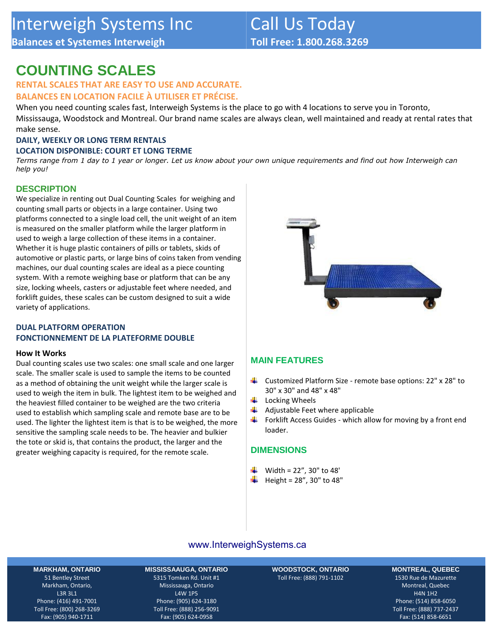# **COUNTING SCALES**

**Balances et Systemes Interweigh**

# **RENTAL SCALES THAT ARE EASY TO USE AND ACCURATE.**

**BALANCES EN LOCATION FACILE À UTILISER ET PRÉCISE.**

When you need counting scales fast, Interweigh Systems is the place to go with 4 locations to serve you in Toronto, Mississauga, Woodstock and Montreal. Our brand name scales are always clean, well maintained and ready at rental rates that make sense.

#### **DAILY, WEEKLY OR LONG TERM RENTALS**

#### **LOCATION DISPONIBLE: COURT ET LONG TERME**

*Terms range from 1 day to 1 year or longer. Let us know about your own unique requirements and find out how Interweigh can help you!*

## **DESCRIPTION**

We specialize in renting out Dual Counting Scales for weighing and counting small parts or objects in a large container. Using two platforms connected to a single load cell, the unit weight of an item is measured on the smaller platform while the larger platform in used to weigh a large collection of these items in a container. Whether it is huge plastic containers of pills or tablets, skids of automotive or plastic parts, or large bins of coins taken from vending machines, our dual counting scales are ideal as a piece counting system. With a remote weighing base or platform that can be any size, locking wheels, casters or adjustable feet where needed, and forklift guides, these scales can be custom designed to suit a wide variety of applications.

### **DUAL PLATFORM OPERATION FONCTIONNEMENT DE LA PLATEFORME DOUBLE**

#### **How It Works**

Dual counting scales use two scales: one small scale and one larger scale. The smaller scale is used to sample the items to be counted as a method of obtaining the unit weight while the larger scale is used to weigh the item in bulk. The lightest item to be weighed and the heaviest filled container to be weighed are the two criteria used to establish which sampling scale and remote base are to be used. The lighter the lightest item is that is to be weighed, the more sensitive the sampling scale needs to be. The heavier and bulkier the tote or skid is, that contains the product, the larger and the greater weighing capacity is required, for the remote scale.



## **MAIN FEATURES**

- ÷ Customized Platform Size - remote base options: 22" x 28" to 30" x 30" and 48" x 48"
- $\downarrow$  Locking Wheels
- $\frac{1}{\sqrt{2}}$  Adjustable Feet where applicable
- . Forklift Access Guides - which allow for moving by a front end loader.

## **DIMENSIONS**

- $\frac{1}{2}$  Width = 22", 30" to 48'
- $\bigcup$  Height = 28", 30" to 48"

## [www.InterweighSystems.ca](https://interweighsystems.ca/)

#### **MARKHAM, ONTARIO**

51 Bentley Street Markham, Ontario, L3R 3L1 Phone: (416) 491-7001 Toll Free: (800) 268-3269 Fax: (905) 940-1711

**MISSISSAAUGA, ONTARIO** 5315 Tomken Rd. Unit #1 Mississauga, Ontario L4W 1P5 Phone: (905) 624-3180 Toll Free: (888) 256-9091 Fax: (905) 624-0958

**WOODSTOCK, ONTARIO**  Toll Free: (888) 791-1102

#### **MONTREAL, QUEBEC**

1530 Rue de Mazurette Montreal, Quebec H4N 1H2 Phone: (514) 858-6050 Toll Free: (888) 737-2437 Fax: (514) 858-6651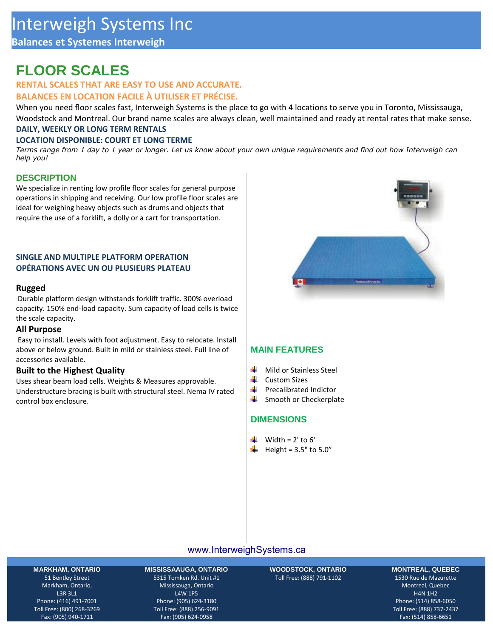## **Balances et Systemes Interweigh**

# **FLOOR SCALES**

## **RENTAL SCALES THAT ARE EASY TO USE AND ACCURATE.**

### **BALANCES EN LOCATION FACILE À UTILISER ET PRÉCISE.**

When you need floor scales fast, Interweigh Systems is the place to go with 4 locations to serve you in Toronto, Mississauga, Woodstock and Montreal. Our brand name scales are always clean, well maintained and ready at rental rates that make sense. **DAILY, WEEKLY OR LONG TERM RENTALS**

### **LOCATION DISPONIBLE: COURT ET LONG TERME**

*Terms range from 1 day to 1 year or longer. Let us know about your own unique requirements and find out how Interweigh can help you!*

## **DESCRIPTION**

We specialize in renting low profile floor scales for general purpose operations in shipping and receiving. Our low profile floor scales are ideal for weighing heavy objects such as drums and objects that require the use of a forklift, a dolly or a cart for transportation.

### **SINGLE AND MULTIPLE PLATFORM OPERATION OPÉRATIONS AVEC UN OU PLUSIEURS PLATEAU**

#### **Rugged**

Durable platform design withstands forklift traffic. 300% overload capacity. 150% end-load capacity. Sum capacity of load cells is twice the scale capacity.

#### **All Purpose**

Easy to install. Levels with foot adjustment. Easy to relocate. Install above or below ground. Built in mild or stainless steel. Full line of accessories available.

### **Built to the Highest Quality**

Uses shear beam load cells. Weights & Measures approvable. Understructure bracing is built with structural steel. Nema IV rated control box enclosure.



## **MAIN FEATURES**

- ÷ Mild or Stainless Steel
- ÷. Custom Sizes
- ┹ Precalibrated Indictor
- ۰. Smooth or Checkerplate

## **DIMENSIONS**

- $\downarrow$  Width = 2' to 6'
- $\bigcup$  Height = 3.5" to 5.0"

## [www.InterweighSystems.ca](https://interweighsystems.ca/)

#### **MARKHAM, ONTARIO**

51 Bentley Street Markham, Ontario, L3R 3L1 Phone: (416) 491-7001 Toll Free: (800) 268-3269 Fax: (905) 940-1711

**MISSISSAAUGA, ONTARIO** 5315 Tomken Rd. Unit #1 Mississauga, Ontario L4W 1P5 Phone: (905) 624-3180 Toll Free: (888) 256-9091 Fax: (905) 624-0958

**WOODSTOCK, ONTARIO**  Toll Free: (888) 791-1102

#### **MONTREAL, QUEBEC**

1530 Rue de Mazurette Montreal, Quebec H4N 1H2 Phone: (514) 858-6050 Toll Free: (888) 737-2437 Fax: (514) 858-6651